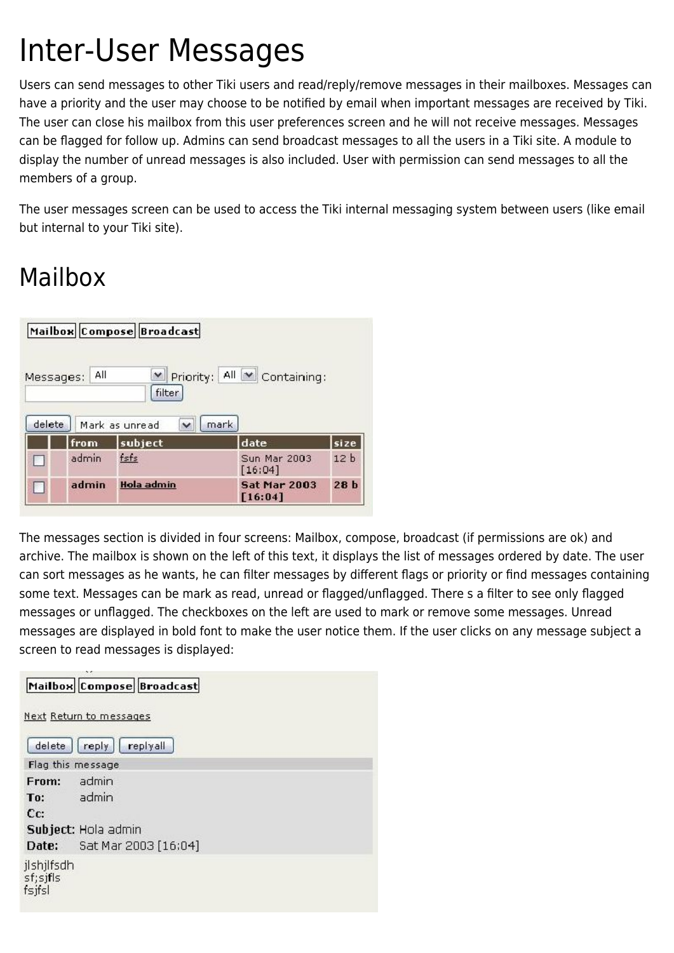# Inter-User Messages

Users can send messages to other Tiki users and read/reply/remove messages in their mailboxes. Messages can have a priority and the user may choose to be notified by email when important messages are received by Tiki. The user can close his mailbox from this user preferences screen and he will not receive messages. Messages can be flagged for follow up. Admins can send broadcast messages to all the users in a Tiki site. A module to display the number of unread messages is also included. User with permission can send messages to all the members of a group.

The user messages screen can be used to access the Tiki internal messaging system between users (like email but internal to your Tiki site).

## Mailbox

|                     |       | Mailbox Compose Broadcast     |                                       |                 |
|---------------------|-------|-------------------------------|---------------------------------------|-----------------|
| Messages:<br>delete | All   | filter<br>Mark as unread<br>Ÿ | M Priority: All M Containing:<br>mark |                 |
|                     | from  | subject                       | date                                  | size            |
|                     | admin | fsfs                          | Sun Mar 2003<br>[16:04]               | 12 <sub>b</sub> |
|                     | admin | <b>Hola admin</b>             | <b>Sat Mar 2003</b><br>[16:04]        | 28 <sub>b</sub> |

The messages section is divided in four screens: Mailbox, compose, broadcast (if permissions are ok) and archive. The mailbox is shown on the left of this text, it displays the list of messages ordered by date. The user can sort messages as he wants, he can filter messages by different flags or priority or find messages containing some text. Messages can be mark as read, unread or flagged/unflagged. There s a filter to see only flagged messages or unflagged. The checkboxes on the left are used to mark or remove some messages. Unread messages are displayed in bold font to make the user notice them. If the user clicks on any message subject a screen to read messages is displayed:

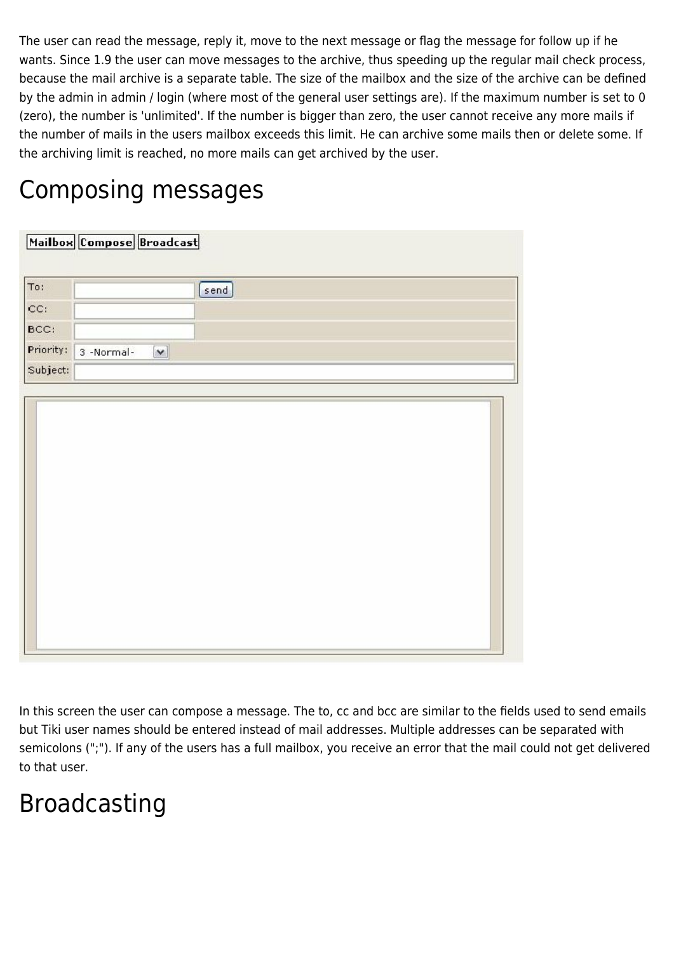The user can read the message, reply it, move to the next message or flag the message for follow up if he wants. Since 1.9 the user can move messages to the archive, thus speeding up the regular mail check process, because the mail archive is a separate table. The size of the mailbox and the size of the archive can be defined by the admin in admin / login (where most of the general user settings are). If the maximum number is set to 0 (zero), the number is 'unlimited'. If the number is bigger than zero, the user cannot receive any more mails if the number of mails in the users mailbox exceeds this limit. He can archive some mails then or delete some. If the archiving limit is reached, no more mails can get archived by the user.

#### Composing messages

| Mailbox Compose Broadcast                            |  |
|------------------------------------------------------|--|
| [send]                                               |  |
|                                                      |  |
|                                                      |  |
| Priority:<br>3 -Normal-<br>$\boldsymbol{\mathsf{v}}$ |  |
| Subject:                                             |  |
|                                                      |  |
|                                                      |  |

In this screen the user can compose a message. The to, cc and bcc are similar to the fields used to send emails but Tiki user names should be entered instead of mail addresses. Multiple addresses can be separated with semicolons (";"). If any of the users has a full mailbox, you receive an error that the mail could not get delivered to that user.

### Broadcasting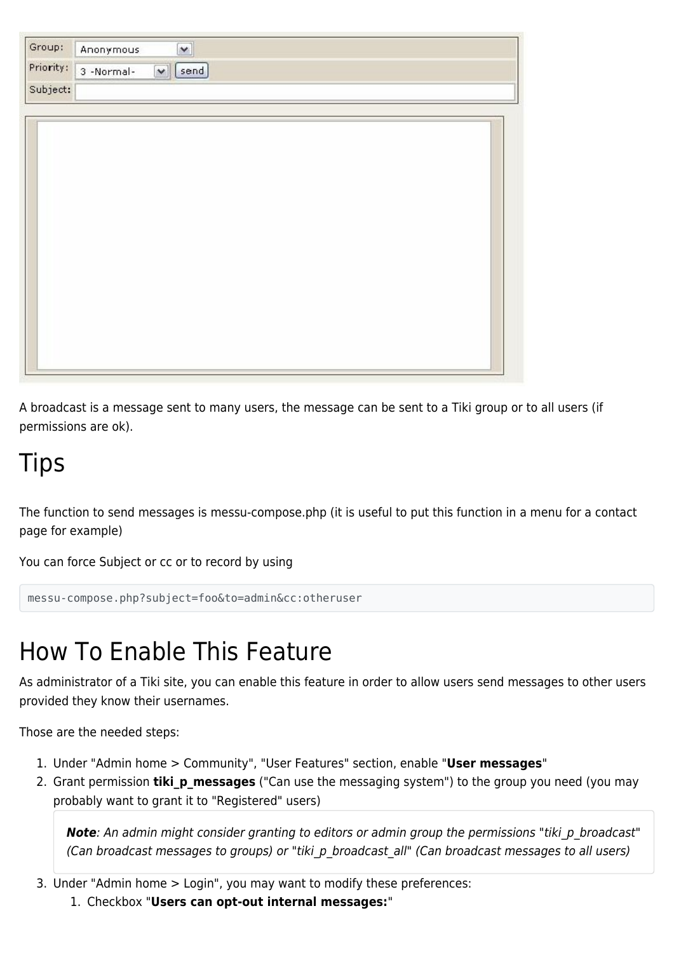| Group:    | Anonymous                                    | $\left  \mathbf{v} \right $ |  |  |  |  |
|-----------|----------------------------------------------|-----------------------------|--|--|--|--|
| Priority: | [send]<br>3 -Normal-<br>$\blacktriangledown$ |                             |  |  |  |  |
| Subject:  |                                              |                             |  |  |  |  |
|           |                                              |                             |  |  |  |  |
|           |                                              |                             |  |  |  |  |
|           |                                              |                             |  |  |  |  |
|           |                                              |                             |  |  |  |  |
|           |                                              |                             |  |  |  |  |
|           |                                              |                             |  |  |  |  |
|           |                                              |                             |  |  |  |  |
|           |                                              |                             |  |  |  |  |
|           |                                              |                             |  |  |  |  |
|           |                                              |                             |  |  |  |  |
|           |                                              |                             |  |  |  |  |
|           |                                              |                             |  |  |  |  |
|           |                                              |                             |  |  |  |  |
|           |                                              |                             |  |  |  |  |

A broadcast is a message sent to many users, the message can be sent to a Tiki group or to all users (if permissions are ok).

#### **Tips**

The function to send messages is messu-compose.php (it is useful to put this function in a menu for a contact page for example)

You can force Subject or cc or to record by using

```
messu-compose.php?subject=foo&to=admin&cc:otheruser
```
# How To Enable This Feature

As administrator of a Tiki site, you can enable this feature in order to allow users send messages to other users provided they know their usernames.

Those are the needed steps:

- 1. Under "Admin home > Community", "User Features" section, enable "**User messages**"
- 2. Grant permission **tiki\_p\_messages** ("Can use the messaging system") to the group you need (you may probably want to grant it to "Registered" users)

*Note: An admin might consider granting to editors or admin group the permissions "tiki p broadcast"* (Can broadcast messages to groups) or "tiki\_p\_broadcast\_all" (Can broadcast messages to all users)

- 3. Under "Admin home > Login", you may want to modify these preferences:
	- 1. Checkbox "**Users can opt-out internal messages:**"